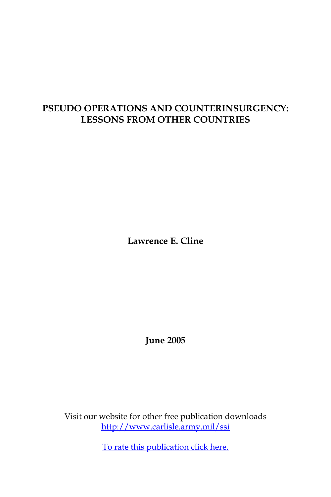# **PSEUDO OPERATIONS AND COUNTERINSURGENCY: LESSONS FROM OTHER COUNTRIES**

**Lawrence E. Cline**

**June 2005**

Visit our website for other free publication downloads [http://www.carlisle.army.mil/ssi](http://www.carlisle.army.mil/ssi )

[To rate this publication click here.](http://www.carlisle.army.mil/ssi/pubs/display.cfm?pubID=607)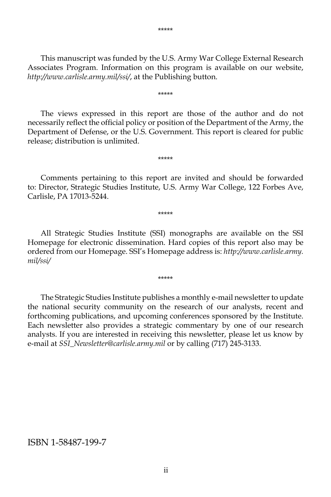This manuscript was funded by the U.S. Army War College External Research Associates Program. Information on this program is available on our website, *http://www.carlisle.army.mil/ssi/*, at the Publishing button.

\*\*\*\*\*

 The views expressed in this report are those of the author and do not necessarily reflect the official policy or position of the Department of the Army, the Department of Defense, or the U.S. Government. This report is cleared for public release; distribution is unlimited.

 Comments pertaining to this report are invited and should be forwarded to: Director, Strategic Studies Institute, U.S. Army War College, 122 Forbes Ave, Carlisle, PA 17013-5244.

\*\*\*\*\*

\*\*\*\*\*

 All Strategic Studies Institute (SSI) monographs are available on the SSI Homepage for electronic dissemination. Hard copies of this report also may be ordered from our Homepage. SSI's Homepage address is: *http://www.carlisle.army. mil/ssi/*

\*\*\*\*\*

 The Strategic Studies Institute publishes a monthly e-mail newsletter to update the national security community on the research of our analysts, recent and forthcoming publications, and upcoming conferences sponsored by the Institute. Each newsletter also provides a strategic commentary by one of our research analysts. If you are interested in receiving this newsletter, please let us know by e-mail at *SSI\_Newsletter@carlisle.army.mil* or by calling (717) 245-3133.

#### ISBN 1-58487-199-7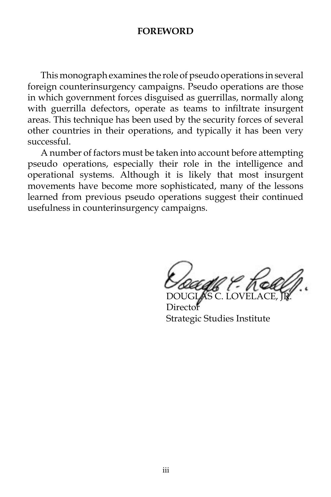#### **FOREWORD**

 This monograph examines the role of pseudo operations in several foreign counterinsurgency campaigns. Pseudo operations are those in which government forces disguised as guerrillas, normally along with guerrilla defectors, operate as teams to infiltrate insurgent areas. This technique has been used by the security forces of several other countries in their operations, and typically it has been very successful.

 A number of factors must be taken into account before attempting pseudo operations, especially their role in the intelligence and operational systems. Although it is likely that most insurgent movements have become more sophisticated, many of the lessons learned from previous pseudo operations suggest their continued usefulness in counterinsurgency campaigns.

DOUGLAS C. LOVELACE, JR.

Director Strategic Studies Institute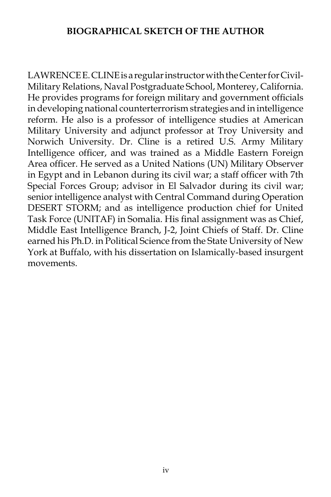### **BIOGRAPHICAL SKETCH OF THE AUTHOR**

LAWRENCE E. CLINE is a regular instructor with the Center for Civil-Military Relations, Naval Postgraduate School, Monterey, California. He provides programs for foreign military and government officials in developing national counterterrorism strategies and in intelligence reform. He also is a professor of intelligence studies at American Military University and adjunct professor at Troy University and Norwich University. Dr. Cline is a retired U.S. Army Military Intelligence officer, and was trained as a Middle Eastern Foreign Area officer. He served as a United Nations (UN) Military Observer in Egypt and in Lebanon during its civil war; a staff officer with 7th Special Forces Group; advisor in El Salvador during its civil war; senior intelligence analyst with Central Command during Operation DESERT STORM; and as intelligence production chief for United Task Force (UNITAF) in Somalia. His final assignment was as Chief, Middle East Intelligence Branch, J-2, Joint Chiefs of Staff. Dr. Cline earned his Ph.D. in Political Science from the State University of New York at Buffalo, with his dissertation on Islamically-based insurgent movements.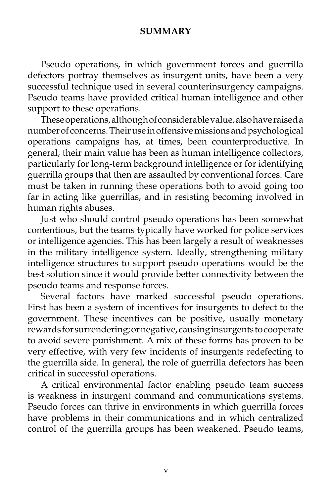### **SUMMARY**

 Pseudo operations, in which government forces and guerrilla defectors portray themselves as insurgent units, have been a very successful technique used in several counterinsurgency campaigns. Pseudo teams have provided critical human intelligence and other support to these operations.

 These operations, although of considerable value, also have raised a number of concerns. Their use in offensive missions and psychological operations campaigns has, at times, been counterproductive. In general, their main value has been as human intelligence collectors, particularly for long-term background intelligence or for identifying guerrilla groups that then are assaulted by conventional forces. Care must be taken in running these operations both to avoid going too far in acting like guerrillas, and in resisting becoming involved in human rights abuses.

 Just who should control pseudo operations has been somewhat contentious, but the teams typically have worked for police services or intelligence agencies. This has been largely a result of weaknesses in the military intelligence system. Ideally, strengthening military intelligence structures to support pseudo operations would be the best solution since it would provide better connectivity between the pseudo teams and response forces.

 Several factors have marked successful pseudo operations. First has been a system of incentives for insurgents to defect to the government. These incentives can be positive, usually monetary rewards for surrendering; or negative, causing insurgents to cooperate to avoid severe punishment. A mix of these forms has proven to be very effective, with very few incidents of insurgents redefecting to the guerrilla side. In general, the role of guerrilla defectors has been critical in successful operations.

 A critical environmental factor enabling pseudo team success is weakness in insurgent command and communications systems. Pseudo forces can thrive in environments in which guerrilla forces have problems in their communications and in which centralized control of the guerrilla groups has been weakened. Pseudo teams,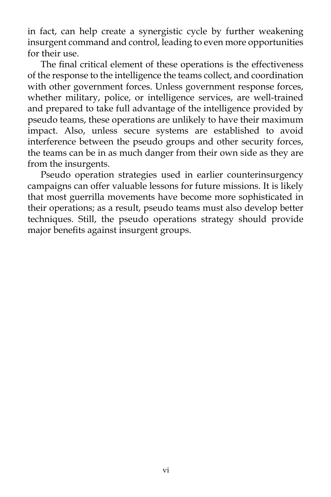in fact, can help create a synergistic cycle by further weakening insurgent command and control, leading to even more opportunities for their use.

 The final critical element of these operations is the effectiveness of the response to the intelligence the teams collect, and coordination with other government forces. Unless government response forces, whether military, police, or intelligence services, are well-trained and prepared to take full advantage of the intelligence provided by pseudo teams, these operations are unlikely to have their maximum impact. Also, unless secure systems are established to avoid interference between the pseudo groups and other security forces, the teams can be in as much danger from their own side as they are from the insurgents.

 Pseudo operation strategies used in earlier counterinsurgency campaigns can offer valuable lessons for future missions. It is likely that most guerrilla movements have become more sophisticated in their operations; as a result, pseudo teams must also develop better techniques. Still, the pseudo operations strategy should provide major benefits against insurgent groups.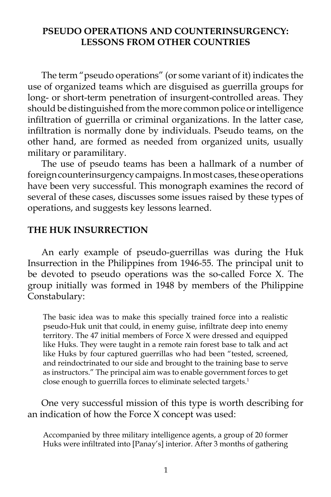### **PSEUDO OPERATIONS AND COUNTERINSURGENCY: LESSONS FROM OTHER COUNTRIES**

 The term "pseudo operations" (or some variant of it) indicates the use of organized teams which are disguised as guerrilla groups for long- or short-term penetration of insurgent-controlled areas. They should be distinguished from the more common police or intelligence infiltration of guerrilla or criminal organizations. In the latter case, infiltration is normally done by individuals. Pseudo teams, on the other hand, are formed as needed from organized units, usually military or paramilitary.

 The use of pseudo teams has been a hallmark of a number of foreign counterinsurgency campaigns. In most cases, these operations have been very successful. This monograph examines the record of several of these cases, discusses some issues raised by these types of operations, and suggests key lessons learned.

#### **THE HUK INSURRECTION**

 An early example of pseudo-guerrillas was during the Huk Insurrection in the Philippines from 1946-55. The principal unit to be devoted to pseudo operations was the so-called Force X. The group initially was formed in 1948 by members of the Philippine Constabulary:

The basic idea was to make this specially trained force into a realistic pseudo-Huk unit that could, in enemy guise, infiltrate deep into enemy territory. The 47 initial members of Force X were dressed and equipped like Huks. They were taught in a remote rain forest base to talk and act like Huks by four captured guerrillas who had been "tested, screened, and reindoctrinated to our side and brought to the training base to serve as instructors." The principal aim was to enable government forces to get close enough to guerrilla forces to eliminate selected targets.<sup>1</sup>

 One very successful mission of this type is worth describing for an indication of how the Force X concept was used:

Accompanied by three military intelligence agents, a group of 20 former Huks were infiltrated into [Panay's] interior. After 3 months of gathering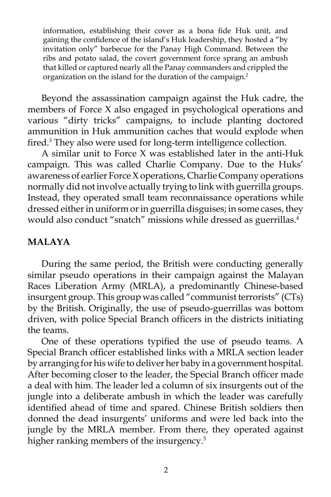information, establishing their cover as a bona fide Huk unit, and gaining the confidence of the island's Huk leadership, they hosted a "by invitation only" barbecue for the Panay High Command. Between the ribs and potato salad, the covert government force sprang an ambush that killed or captured nearly all the Panay commanders and crippled the organization on the island for the duration of the campaign.2

 Beyond the assassination campaign against the Huk cadre, the members of Force X also engaged in psychological operations and various "dirty tricks" campaigns, to include planting doctored ammunition in Huk ammunition caches that would explode when fired.<sup>3</sup> They also were used for long-term intelligence collection.

 A similar unit to Force X was established later in the anti-Huk campaign. This was called Charlie Company. Due to the Huks' awareness of earlier Force X operations, Charlie Company operations normally did not involve actually trying to link with guerrilla groups. Instead, they operated small team reconnaissance operations while dressed either in uniform or in guerrilla disguises; in some cases, they would also conduct "snatch" missions while dressed as guerrillas.<sup>4</sup>

### **MALAYA**

 During the same period, the British were conducting generally similar pseudo operations in their campaign against the Malayan Races Liberation Army (MRLA), a predominantly Chinese-based insurgent group. This group was called "communist terrorists" (CTs) by the British. Originally, the use of pseudo-guerrillas was bottom driven, with police Special Branch officers in the districts initiating the teams.

 One of these operations typified the use of pseudo teams. A Special Branch officer established links with a MRLA section leader by arranging for his wife to deliver her baby in a government hospital. After becoming closer to the leader, the Special Branch officer made a deal with him. The leader led a column of six insurgents out of the jungle into a deliberate ambush in which the leader was carefully identified ahead of time and spared. Chinese British soldiers then donned the dead insurgents' uniforms and were led back into the jungle by the MRLA member. From there, they operated against higher ranking members of the insurgency.<sup>5</sup>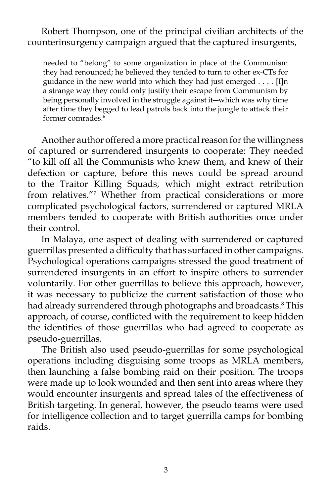Robert Thompson, one of the principal civilian architects of the counterinsurgency campaign argued that the captured insurgents,

needed to "belong" to some organization in place of the Communism they had renounced; he believed they tended to turn to other ex-CTs for guidance in the new world into which they had just emerged . . . . [I]n a strange way they could only justify their escape from Communism by being personally involved in the struggle against it―which was why time after time they begged to lead patrols back into the jungle to attack their former comrades.6

 Another author offered a more practical reason for the willingness of captured or surrendered insurgents to cooperate: They needed "to kill off all the Communists who knew them, and knew of their defection or capture, before this news could be spread around to the Traitor Killing Squads, which might extract retribution from relatives."7 Whether from practical considerations or more complicated psychological factors, surrendered or captured MRLA members tended to cooperate with British authorities once under their control.

 In Malaya, one aspect of dealing with surrendered or captured guerrillas presented a difficulty that has surfaced in other campaigns. Psychological operations campaigns stressed the good treatment of surrendered insurgents in an effort to inspire others to surrender voluntarily. For other guerrillas to believe this approach, however, it was necessary to publicize the current satisfaction of those who had already surrendered through photographs and broadcasts.8 This approach, of course, conflicted with the requirement to keep hidden the identities of those guerrillas who had agreed to cooperate as pseudo-guerrillas.

 The British also used pseudo-guerrillas for some psychological operations including disguising some troops as MRLA members, then launching a false bombing raid on their position. The troops were made up to look wounded and then sent into areas where they would encounter insurgents and spread tales of the effectiveness of British targeting. In general, however, the pseudo teams were used for intelligence collection and to target guerrilla camps for bombing raids.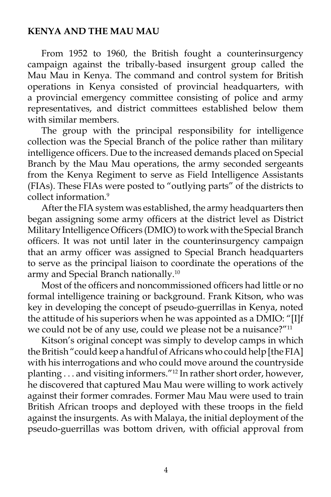# **KENYA AND THE MAU MAU**

 From 1952 to 1960, the British fought a counterinsurgency campaign against the tribally-based insurgent group called the Mau Mau in Kenya. The command and control system for British operations in Kenya consisted of provincial headquarters, with a provincial emergency committee consisting of police and army representatives, and district committees established below them with similar members.

 The group with the principal responsibility for intelligence collection was the Special Branch of the police rather than military intelligence officers. Due to the increased demands placed on Special Branch by the Mau Mau operations, the army seconded sergeants from the Kenya Regiment to serve as Field Intelligence Assistants (FIAs). These FIAs were posted to "outlying parts" of the districts to collect information.<sup>9</sup>

 After the FIA system was established, the army headquarters then began assigning some army officers at the district level as District Military Intelligence Officers (DMIO) to work with the Special Branch officers. It was not until later in the counterinsurgency campaign that an army officer was assigned to Special Branch headquarters to serve as the principal liaison to coordinate the operations of the army and Special Branch nationally.10

 Most of the officers and noncommissioned officers had little or no formal intelligence training or background. Frank Kitson, who was key in developing the concept of pseudo-guerrillas in Kenya, noted the attitude of his superiors when he was appointed as a DMIO: "[I]f we could not be of any use, could we please not be a nuisance?"<sup>11</sup>

 Kitson's original concept was simply to develop camps in which the British "could keep a handful of Africans who could help [the FIA] with his interrogations and who could move around the countryside planting . . . and visiting informers."12 In rather short order, however, he discovered that captured Mau Mau were willing to work actively against their former comrades. Former Mau Mau were used to train British African troops and deployed with these troops in the field against the insurgents. As with Malaya, the initial deployment of the pseudo-guerrillas was bottom driven, with official approval from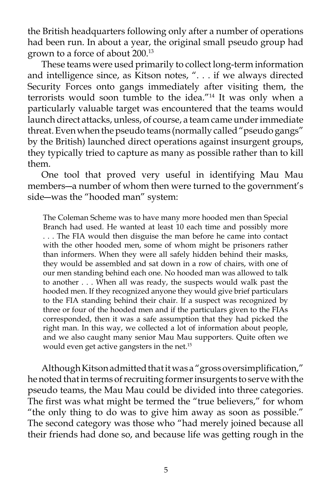the British headquarters following only after a number of operations had been run. In about a year, the original small pseudo group had grown to a force of about 200.13

 These teams were used primarily to collect long-term information and intelligence since, as Kitson notes, ". . . if we always directed Security Forces onto gangs immediately after visiting them, the terrorists would soon tumble to the idea."14 It was only when a particularly valuable target was encountered that the teams would launch direct attacks, unless, of course, a team came under immediate threat. Even when the pseudo teams (normally called "pseudo gangs" by the British) launched direct operations against insurgent groups, they typically tried to capture as many as possible rather than to kill them.

 One tool that proved very useful in identifying Mau Mau members―a number of whom then were turned to the government's side―was the "hooded man" system:

The Coleman Scheme was to have many more hooded men than Special Branch had used. He wanted at least 10 each time and possibly more . . . The FIA would then disguise the man before he came into contact with the other hooded men, some of whom might be prisoners rather than informers. When they were all safely hidden behind their masks, they would be assembled and sat down in a row of chairs, with one of our men standing behind each one. No hooded man was allowed to talk to another . . . When all was ready, the suspects would walk past the hooded men. If they recognized anyone they would give brief particulars to the FIA standing behind their chair. If a suspect was recognized by three or four of the hooded men and if the particulars given to the FIAs corresponded, then it was a safe assumption that they had picked the right man. In this way, we collected a lot of information about people, and we also caught many senior Mau Mau supporters. Quite often we would even get active gangsters in the net.<sup>15</sup>

 Although Kitson admitted that it was a "gross oversimplification," he noted that in terms of recruiting former insurgents to serve with the pseudo teams, the Mau Mau could be divided into three categories. The first was what might be termed the "true believers," for whom "the only thing to do was to give him away as soon as possible." The second category was those who "had merely joined because all their friends had done so, and because life was getting rough in the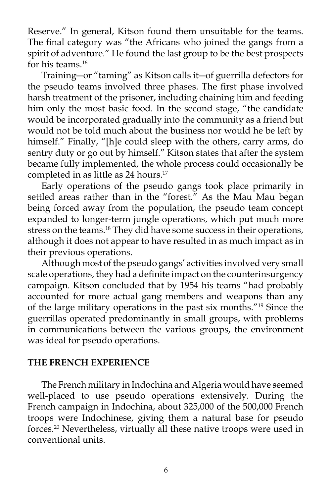Reserve." In general, Kitson found them unsuitable for the teams. The final category was "the Africans who joined the gangs from a spirit of adventure." He found the last group to be the best prospects for his teams.<sup>16</sup>

 Training―or "taming" as Kitson calls it―of guerrilla defectors for the pseudo teams involved three phases. The first phase involved harsh treatment of the prisoner, including chaining him and feeding him only the most basic food. In the second stage, "the candidate would be incorporated gradually into the community as a friend but would not be told much about the business nor would he be left by himself." Finally, "[h]e could sleep with the others, carry arms, do sentry duty or go out by himself." Kitson states that after the system became fully implemented, the whole process could occasionally be completed in as little as 24 hours.<sup>17</sup>

 Early operations of the pseudo gangs took place primarily in settled areas rather than in the "forest." As the Mau Mau began being forced away from the population, the pseudo team concept expanded to longer-term jungle operations, which put much more stress on the teams.<sup>18</sup> They did have some success in their operations, although it does not appear to have resulted in as much impact as in their previous operations.

 Although most of the pseudo gangs' activities involved very small scale operations, they had a definite impact on the counterinsurgency campaign. Kitson concluded that by 1954 his teams "had probably accounted for more actual gang members and weapons than any of the large military operations in the past six months."19 Since the guerrillas operated predominantly in small groups, with problems in communications between the various groups, the environment was ideal for pseudo operations.

### **THE FRENCH EXPERIENCE**

 The French military in Indochina and Algeria would have seemed well-placed to use pseudo operations extensively. During the French campaign in Indochina, about 325,000 of the 500,000 French troops were Indochinese, giving them a natural base for pseudo forces.20 Nevertheless, virtually all these native troops were used in conventional units.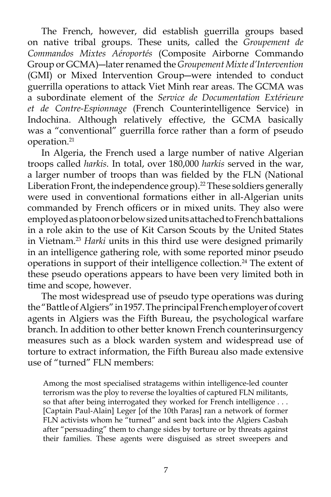The French, however, did establish guerrilla groups based on native tribal groups. These units, called the *Groupement de Commandos Mixtes Aéroportés* (Composite Airborne Commando Group or GCMA)―later renamed the *Groupement Mixte d'Intervention* (GMI) or Mixed Intervention Group―were intended to conduct guerrilla operations to attack Viet Minh rear areas. The GCMA was a subordinate element of the *Service de Documentation Extérieure et de Contre-Espionnage* (French Counterintelligence Service) in Indochina. Although relatively effective, the GCMA basically was a "conventional" guerrilla force rather than a form of pseudo operation.<sup>21</sup>

 In Algeria, the French used a large number of native Algerian troops called *harkis.* In total, over 180,000 *harkis* served in the war, a larger number of troops than was fielded by the FLN (National Liberation Front, the independence group).<sup>22</sup> These soldiers generally were used in conventional formations either in all-Algerian units commanded by French officers or in mixed units. They also were employed as platoon or below sized units attached to French battalions in a role akin to the use of Kit Carson Scouts by the United States in Vietnam.23 *Harki* units in this third use were designed primarily in an intelligence gathering role, with some reported minor pseudo operations in support of their intelligence collection.<sup>24</sup> The extent of these pseudo operations appears to have been very limited both in time and scope, however.

 The most widespread use of pseudo type operations was during the "Battle of Algiers" in 1957. The principal French employer of covert agents in Algiers was the Fifth Bureau, the psychological warfare branch. In addition to other better known French counterinsurgency measures such as a block warden system and widespread use of torture to extract information, the Fifth Bureau also made extensive use of "turned" FLN members:

Among the most specialised stratagems within intelligence-led counter terrorism was the ploy to reverse the loyalties of captured FLN militants, so that after being interrogated they worked for French intelligence . . . [Captain Paul-Alain] Leger [of the 10th Paras] ran a network of former FLN activists whom he "turned" and sent back into the Algiers Casbah after "persuading" them to change sides by torture or by threats against their families. These agents were disguised as street sweepers and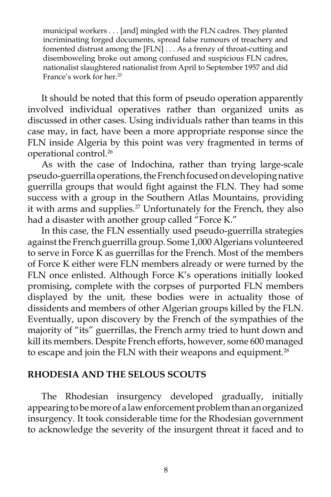municipal workers . . . [and] mingled with the FLN cadres. They planted incriminating forged documents, spread false rumours of treachery and fomented distrust among the [FLN] . . . As a frenzy of throat-cutting and disemboweling broke out among confused and suspicious FLN cadres, nationalist slaughtered nationalist from April to September 1957 and did France's work for her.<sup>25</sup>

 It should be noted that this form of pseudo operation apparently involved individual operatives rather than organized units as discussed in other cases. Using individuals rather than teams in this case may, in fact, have been a more appropriate response since the FLN inside Algeria by this point was very fragmented in terms of operational control.26

 As with the case of Indochina, rather than trying large-scale pseudo-guerrilla operations, the French focused on developing native guerrilla groups that would fight against the FLN. They had some success with a group in the Southern Atlas Mountains, providing it with arms and supplies.<sup>27</sup> Unfortunately for the French, they also had a disaster with another group called "Force K."

 In this case, the FLN essentially used pseudo-guerrilla strategies against the French guerrilla group. Some 1,000 Algerians volunteered to serve in Force K as guerrillas for the French. Most of the members of Force K either were FLN members already or were turned by the FLN once enlisted. Although Force K's operations initially looked promising, complete with the corpses of purported FLN members displayed by the unit, these bodies were in actuality those of dissidents and members of other Algerian groups killed by the FLN. Eventually, upon discovery by the French of the sympathies of the majority of "its" guerrillas, the French army tried to hunt down and kill its members. Despite French efforts, however, some 600 managed to escape and join the FLN with their weapons and equipment.<sup>28</sup>

#### **RHODESIA AND THE SELOUS SCOUTS**

The Rhodesian insurgency developed gradually, initially appearing to be more of a law enforcement problem than an organized insurgency. It took considerable time for the Rhodesian government to acknowledge the severity of the insurgent threat it faced and to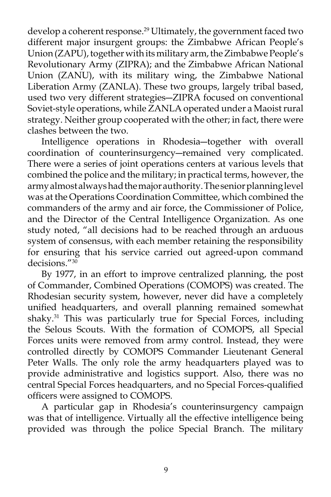develop a coherent response.<sup>29</sup> Ultimately, the government faced two different major insurgent groups: the Zimbabwe African People's Union (ZAPU), together with its military arm, the Zimbabwe People's Revolutionary Army (ZIPRA); and the Zimbabwe African National Union (ZANU), with its military wing, the Zimbabwe National Liberation Army (ZANLA). These two groups, largely tribal based, used two very different strategies―ZIPRA focused on conventional Soviet-style operations, while ZANLA operated under a Maoist rural strategy. Neither group cooperated with the other; in fact, there were clashes between the two.

 Intelligence operations in Rhodesia―together with overall coordination of counterinsurgency―remained very complicated. There were a series of joint operations centers at various levels that combined the police and the military; in practical terms, however, the army almost always had the major authority. The senior planning level was at the Operations Coordination Committee, which combined the commanders of the army and air force, the Commissioner of Police, and the Director of the Central Intelligence Organization. As one study noted, "all decisions had to be reached through an arduous system of consensus, with each member retaining the responsibility for ensuring that his service carried out agreed-upon command decisions."30

 By 1977, in an effort to improve centralized planning, the post of Commander, Combined Operations (COMOPS) was created. The Rhodesian security system, however, never did have a completely unified headquarters, and overall planning remained somewhat shaky.<sup>31</sup> This was particularly true for Special Forces, including the Selous Scouts. With the formation of COMOPS, all Special Forces units were removed from army control. Instead, they were controlled directly by COMOPS Commander Lieutenant General Peter Walls. The only role the army headquarters played was to provide administrative and logistics support. Also, there was no central Special Forces headquarters, and no Special Forces-qualified officers were assigned to COMOPS.

 A particular gap in Rhodesia's counterinsurgency campaign was that of intelligence. Virtually all the effective intelligence being provided was through the police Special Branch. The military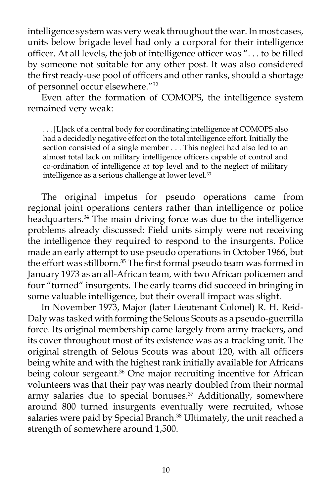intelligence system was very weak throughout the war. In most cases, units below brigade level had only a corporal for their intelligence officer. At all levels, the job of intelligence officer was ". . . to be filled by someone not suitable for any other post. It was also considered the first ready-use pool of officers and other ranks, should a shortage of personnel occur elsewhere."32

 Even after the formation of COMOPS, the intelligence system remained very weak:

. . . [L]ack of a central body for coordinating intelligence at COMOPS also had a decidedly negative effect on the total intelligence effort. Initially the section consisted of a single member . . . This neglect had also led to an almost total lack on military intelligence officers capable of control and co-ordination of intelligence at top level and to the neglect of military intelligence as a serious challenge at lower level.<sup>33</sup>

 The original impetus for pseudo operations came from regional joint operations centers rather than intelligence or police headquarters.<sup>34</sup> The main driving force was due to the intelligence problems already discussed: Field units simply were not receiving the intelligence they required to respond to the insurgents. Police made an early attempt to use pseudo operations in October 1966, but the effort was stillborn.<sup>35</sup> The first formal pseudo team was formed in January 1973 as an all-African team, with two African policemen and four "turned" insurgents. The early teams did succeed in bringing in some valuable intelligence, but their overall impact was slight.

 In November 1973, Major (later Lieutenant Colonel) R. H. Reid-Daly was tasked with forming the Selous Scouts as a pseudo-guerrilla force. Its original membership came largely from army trackers, and its cover throughout most of its existence was as a tracking unit. The original strength of Selous Scouts was about 120, with all officers being white and with the highest rank initially available for Africans being colour sergeant.<sup>36</sup> One major recruiting incentive for African volunteers was that their pay was nearly doubled from their normal army salaries due to special bonuses.<sup>37</sup> Additionally, somewhere around 800 turned insurgents eventually were recruited, whose salaries were paid by Special Branch.<sup>38</sup> Ultimately, the unit reached a strength of somewhere around 1,500.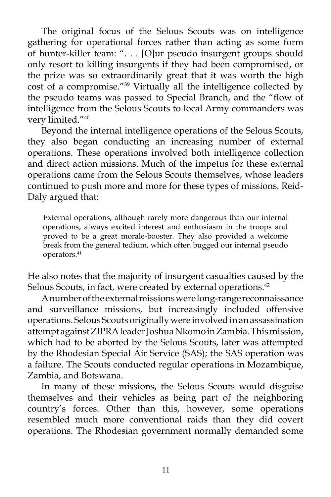The original focus of the Selous Scouts was on intelligence gathering for operational forces rather than acting as some form of hunter-killer team: ". . . [O]ur pseudo insurgent groups should only resort to killing insurgents if they had been compromised, or the prize was so extraordinarily great that it was worth the high cost of a compromise."39 Virtually all the intelligence collected by the pseudo teams was passed to Special Branch, and the "flow of intelligence from the Selous Scouts to local Army commanders was very limited."40

 Beyond the internal intelligence operations of the Selous Scouts, they also began conducting an increasing number of external operations. These operations involved both intelligence collection and direct action missions. Much of the impetus for these external operations came from the Selous Scouts themselves, whose leaders continued to push more and more for these types of missions. Reid-Daly argued that:

External operations, although rarely more dangerous than our internal operations, always excited interest and enthusiasm in the troops and proved to be a great morale-booster. They also provided a welcome break from the general tedium, which often bugged our internal pseudo operators.41

He also notes that the majority of insurgent casualties caused by the Selous Scouts, in fact, were created by external operations.<sup>42</sup>

 A number of the external missions were long-range reconnaissance and surveillance missions, but increasingly included offensive operations. Selous Scouts originally were involved in an assassination attempt against ZIPRA leader Joshua Nkomo in Zambia. This mission, which had to be aborted by the Selous Scouts, later was attempted by the Rhodesian Special Air Service (SAS); the SAS operation was a failure. The Scouts conducted regular operations in Mozambique, Zambia, and Botswana.

 In many of these missions, the Selous Scouts would disguise themselves and their vehicles as being part of the neighboring country's forces. Other than this, however, some operations resembled much more conventional raids than they did covert operations. The Rhodesian government normally demanded some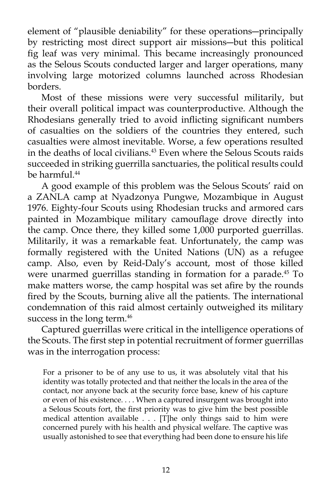element of "plausible deniability" for these operations―principally by restricting most direct support air missions―but this political fig leaf was very minimal. This became increasingly pronounced as the Selous Scouts conducted larger and larger operations, many involving large motorized columns launched across Rhodesian borders.

 Most of these missions were very successful militarily, but their overall political impact was counterproductive. Although the Rhodesians generally tried to avoid inflicting significant numbers of casualties on the soldiers of the countries they entered, such casualties were almost inevitable. Worse, a few operations resulted in the deaths of local civilians.<sup>43</sup> Even where the Selous Scouts raids succeeded in striking guerrilla sanctuaries, the political results could be harmful.44

 A good example of this problem was the Selous Scouts' raid on a ZANLA camp at Nyadzonya Pungwe, Mozambique in August 1976. Eighty-four Scouts using Rhodesian trucks and armored cars painted in Mozambique military camouflage drove directly into the camp. Once there, they killed some 1,000 purported guerrillas. Militarily, it was a remarkable feat. Unfortunately, the camp was formally registered with the United Nations (UN) as a refugee camp. Also, even by Reid-Daly's account, most of those killed were unarmed guerrillas standing in formation for a parade.<sup>45</sup> To make matters worse, the camp hospital was set afire by the rounds fired by the Scouts, burning alive all the patients. The international condemnation of this raid almost certainly outweighed its military success in the long term.<sup>46</sup>

 Captured guerrillas were critical in the intelligence operations of the Scouts. The first step in potential recruitment of former guerrillas was in the interrogation process:

For a prisoner to be of any use to us, it was absolutely vital that his identity was totally protected and that neither the locals in the area of the contact, nor anyone back at the security force base, knew of his capture or even of his existence. . . . When a captured insurgent was brought into a Selous Scouts fort, the first priority was to give him the best possible medical attention available . . . [T]he only things said to him were concerned purely with his health and physical welfare. The captive was usually astonished to see that everything had been done to ensure his life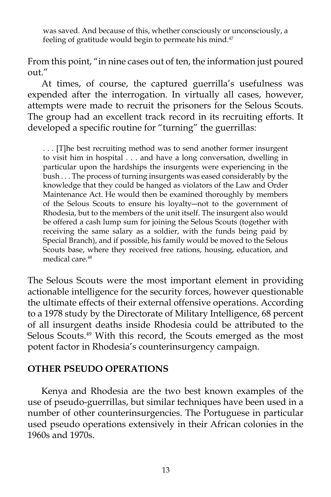was saved. And because of this, whether consciously or unconsciously, a feeling of gratitude would begin to permeate his mind.<sup>47</sup>

From this point, "in nine cases out of ten, the information just poured out."

 At times, of course, the captured guerrilla's usefulness was expended after the interrogation. In virtually all cases, however, attempts were made to recruit the prisoners for the Selous Scouts. The group had an excellent track record in its recruiting efforts. It developed a specific routine for "turning" the guerrillas:

. . . [T]he best recruiting method was to send another former insurgent to visit him in hospital . . . and have a long conversation, dwelling in particular upon the hardships the insurgents were experiencing in the bush . . . The process of turning insurgents was eased considerably by the knowledge that they could be hanged as violators of the Law and Order Maintenance Act. He would then be examined thoroughly by members of the Selous Scouts to ensure his loyalty―not to the government of Rhodesia, but to the members of the unit itself. The insurgent also would be offered a cash lump sum for joining the Selous Scouts (together with receiving the same salary as a soldier, with the funds being paid by Special Branch), and if possible, his family would be moved to the Selous Scouts base, where they received free rations, housing, education, and medical care.<sup>48</sup>

The Selous Scouts were the most important element in providing actionable intelligence for the security forces, however questionable the ultimate effects of their external offensive operations. According to a 1978 study by the Directorate of Military Intelligence, 68 percent of all insurgent deaths inside Rhodesia could be attributed to the Selous Scouts.49 With this record, the Scouts emerged as the most potent factor in Rhodesia's counterinsurgency campaign.

# **OTHER PSEUDO OPERATIONS**

 Kenya and Rhodesia are the two best known examples of the use of pseudo-guerrillas, but similar techniques have been used in a number of other counterinsurgencies. The Portuguese in particular used pseudo operations extensively in their African colonies in the 1960s and 1970s.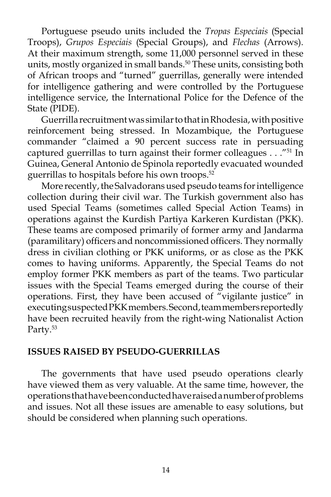Portuguese pseudo units included the *Tropas Especiais* (Special Troops), *Grupos Especiais* (Special Groups), and *Flechas* (Arrows). At their maximum strength, some 11,000 personnel served in these units, mostly organized in small bands.<sup>50</sup> These units, consisting both of African troops and "turned" guerrillas, generally were intended for intelligence gathering and were controlled by the Portuguese intelligence service, the International Police for the Defence of the State (PIDE).

 Guerrilla recruitment was similar to that in Rhodesia, with positive reinforcement being stressed. In Mozambique, the Portuguese commander "claimed a 90 percent success rate in persuading captured guerrillas to turn against their former colleagues  $\ldots$ ."<sup>51</sup> In Guinea, General Antonio de Spinola reportedly evacuated wounded guerrillas to hospitals before his own troops.52

 More recently, the Salvadorans used pseudo teams for intelligence collection during their civil war. The Turkish government also has used Special Teams (sometimes called Special Action Teams) in operations against the Kurdish Partiya Karkeren Kurdistan (PKK). These teams are composed primarily of former army and Jandarma (paramilitary) officers and noncommissioned officers. They normally dress in civilian clothing or PKK uniforms, or as close as the PKK comes to having uniforms. Apparently, the Special Teams do not employ former PKK members as part of the teams. Two particular issues with the Special Teams emerged during the course of their operations. First, they have been accused of "vigilante justice" in executing suspected PKK members. Second, team members reportedly have been recruited heavily from the right-wing Nationalist Action Party.<sup>53</sup>

#### **ISSUES RAISED BY PSEUDO-GUERRILLAS**

 The governments that have used pseudo operations clearly have viewed them as very valuable. At the same time, however, the operations that have been conducted have raised a number of problems and issues. Not all these issues are amenable to easy solutions, but should be considered when planning such operations.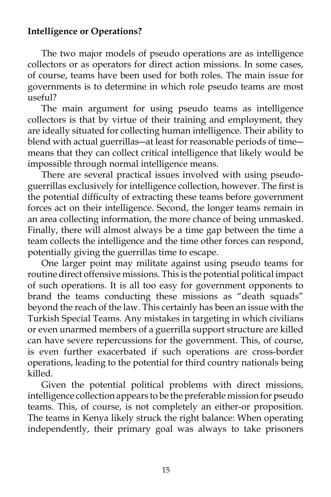# **Intelligence or Operations?**

 The two major models of pseudo operations are as intelligence collectors or as operators for direct action missions. In some cases, of course, teams have been used for both roles. The main issue for governments is to determine in which role pseudo teams are most useful?

 The main argument for using pseudo teams as intelligence collectors is that by virtue of their training and employment, they are ideally situated for collecting human intelligence. Their ability to blend with actual guerrillas―at least for reasonable periods of time― means that they can collect critical intelligence that likely would be impossible through normal intelligence means.

 There are several practical issues involved with using pseudoguerrillas exclusively for intelligence collection, however. The first is the potential difficulty of extracting these teams before government forces act on their intelligence. Second, the longer teams remain in an area collecting information, the more chance of being unmasked. Finally, there will almost always be a time gap between the time a team collects the intelligence and the time other forces can respond, potentially giving the guerrillas time to escape.

 One larger point may militate against using pseudo teams for routine direct offensive missions. This is the potential political impact of such operations. It is all too easy for government opponents to brand the teams conducting these missions as "death squads" beyond the reach of the law. This certainly has been an issue with the Turkish Special Teams. Any mistakes in targeting in which civilians or even unarmed members of a guerrilla support structure are killed can have severe repercussions for the government. This, of course, is even further exacerbated if such operations are cross-border operations, leading to the potential for third country nationals being killed.

 Given the potential political problems with direct missions, intelligence collection appears to be the preferable mission for pseudo teams. This, of course, is not completely an either-or proposition. The teams in Kenya likely struck the right balance: When operating independently, their primary goal was always to take prisoners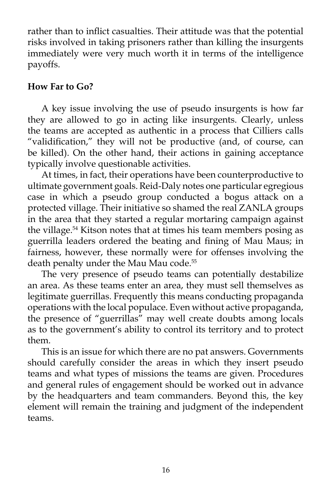rather than to inflict casualties. Their attitude was that the potential risks involved in taking prisoners rather than killing the insurgents immediately were very much worth it in terms of the intelligence payoffs.

# **How Far to Go?**

 A key issue involving the use of pseudo insurgents is how far they are allowed to go in acting like insurgents. Clearly, unless the teams are accepted as authentic in a process that Cilliers calls "validification," they will not be productive (and, of course, can be killed). On the other hand, their actions in gaining acceptance typically involve questionable activities.

 At times, in fact, their operations have been counterproductive to ultimate government goals. Reid-Daly notes one particular egregious case in which a pseudo group conducted a bogus attack on a protected village. Their initiative so shamed the real ZANLA groups in the area that they started a regular mortaring campaign against the village.54 Kitson notes that at times his team members posing as guerrilla leaders ordered the beating and fining of Mau Maus; in fairness, however, these normally were for offenses involving the death penalty under the Mau Mau code.<sup>55</sup>

 The very presence of pseudo teams can potentially destabilize an area. As these teams enter an area, they must sell themselves as legitimate guerrillas. Frequently this means conducting propaganda operations with the local populace. Even without active propaganda, the presence of "guerrillas" may well create doubts among locals as to the government's ability to control its territory and to protect them.

 This is an issue for which there are no pat answers. Governments should carefully consider the areas in which they insert pseudo teams and what types of missions the teams are given. Procedures and general rules of engagement should be worked out in advance by the headquarters and team commanders. Beyond this, the key element will remain the training and judgment of the independent teams.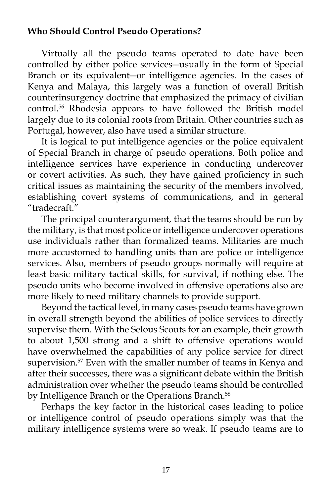# **Who Should Control Pseudo Operations?**

 Virtually all the pseudo teams operated to date have been controlled by either police services―usually in the form of Special Branch or its equivalent―or intelligence agencies. In the cases of Kenya and Malaya, this largely was a function of overall British counterinsurgency doctrine that emphasized the primacy of civilian control.56 Rhodesia appears to have followed the British model largely due to its colonial roots from Britain. Other countries such as Portugal, however, also have used a similar structure.

 It is logical to put intelligence agencies or the police equivalent of Special Branch in charge of pseudo operations. Both police and intelligence services have experience in conducting undercover or covert activities. As such, they have gained proficiency in such critical issues as maintaining the security of the members involved, establishing covert systems of communications, and in general "tradecraft."

 The principal counterargument, that the teams should be run by the military, is that most police or intelligence undercover operations use individuals rather than formalized teams. Militaries are much more accustomed to handling units than are police or intelligence services. Also, members of pseudo groups normally will require at least basic military tactical skills, for survival, if nothing else. The pseudo units who become involved in offensive operations also are more likely to need military channels to provide support.

 Beyond the tactical level, in many cases pseudo teams have grown in overall strength beyond the abilities of police services to directly supervise them. With the Selous Scouts for an example, their growth to about 1,500 strong and a shift to offensive operations would have overwhelmed the capabilities of any police service for direct supervision.<sup>57</sup> Even with the smaller number of teams in Kenya and after their successes, there was a significant debate within the British administration over whether the pseudo teams should be controlled by Intelligence Branch or the Operations Branch.<sup>58</sup>

 Perhaps the key factor in the historical cases leading to police or intelligence control of pseudo operations simply was that the military intelligence systems were so weak. If pseudo teams are to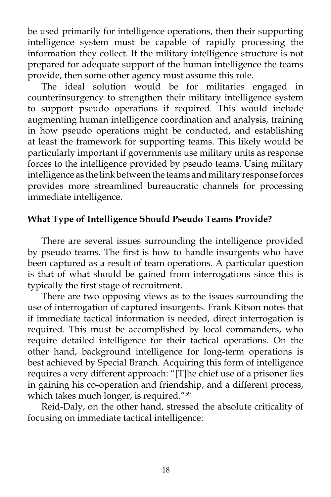be used primarily for intelligence operations, then their supporting intelligence system must be capable of rapidly processing the information they collect. If the military intelligence structure is not prepared for adequate support of the human intelligence the teams provide, then some other agency must assume this role.

 The ideal solution would be for militaries engaged in counterinsurgency to strengthen their military intelligence system to support pseudo operations if required. This would include augmenting human intelligence coordination and analysis, training in how pseudo operations might be conducted, and establishing at least the framework for supporting teams. This likely would be particularly important if governments use military units as response forces to the intelligence provided by pseudo teams. Using military intelligence as the link between the teams and military response forces provides more streamlined bureaucratic channels for processing immediate intelligence.

# **What Type of Intelligence Should Pseudo Teams Provide?**

 There are several issues surrounding the intelligence provided by pseudo teams. The first is how to handle insurgents who have been captured as a result of team operations. A particular question is that of what should be gained from interrogations since this is typically the first stage of recruitment.

 There are two opposing views as to the issues surrounding the use of interrogation of captured insurgents. Frank Kitson notes that if immediate tactical information is needed, direct interrogation is required. This must be accomplished by local commanders, who require detailed intelligence for their tactical operations. On the other hand, background intelligence for long-term operations is best achieved by Special Branch. Acquiring this form of intelligence requires a very different approach: "[T]he chief use of a prisoner lies in gaining his co-operation and friendship, and a different process, which takes much longer, is required."<sup>59</sup>

 Reid-Daly, on the other hand, stressed the absolute criticality of focusing on immediate tactical intelligence: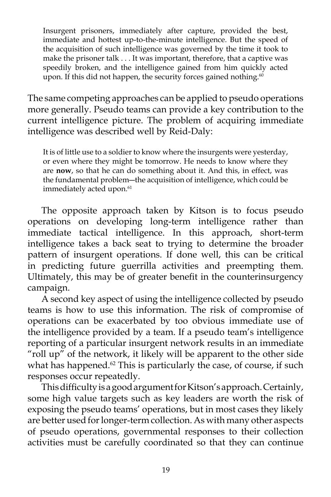Insurgent prisoners, immediately after capture, provided the best, immediate and hottest up-to-the-minute intelligence. But the speed of the acquisition of such intelligence was governed by the time it took to make the prisoner talk . . . It was important, therefore, that a captive was speedily broken, and the intelligence gained from him quickly acted upon. If this did not happen, the security forces gained nothing. $60$ 

The same competing approaches can be applied to pseudo operations more generally. Pseudo teams can provide a key contribution to the current intelligence picture. The problem of acquiring immediate intelligence was described well by Reid-Daly:

It is of little use to a soldier to know where the insurgents were yesterday, or even where they might be tomorrow. He needs to know where they are **now**, so that he can do something about it. And this, in effect, was the fundamental problem―the acquisition of intelligence, which could be immediately acted upon.<sup>61</sup>

 The opposite approach taken by Kitson is to focus pseudo operations on developing long-term intelligence rather than immediate tactical intelligence. In this approach, short-term intelligence takes a back seat to trying to determine the broader pattern of insurgent operations. If done well, this can be critical in predicting future guerrilla activities and preempting them. Ultimately, this may be of greater benefit in the counterinsurgency campaign.

 A second key aspect of using the intelligence collected by pseudo teams is how to use this information. The risk of compromise of operations can be exacerbated by too obvious immediate use of the intelligence provided by a team. If a pseudo team's intelligence reporting of a particular insurgent network results in an immediate "roll up" of the network, it likely will be apparent to the other side what has happened. $62$  This is particularly the case, of course, if such responses occur repeatedly.

 This difficulty is a good argument for Kitson's approach. Certainly, some high value targets such as key leaders are worth the risk of exposing the pseudo teams' operations, but in most cases they likely are better used for longer-term collection. As with many other aspects of pseudo operations, governmental responses to their collection activities must be carefully coordinated so that they can continue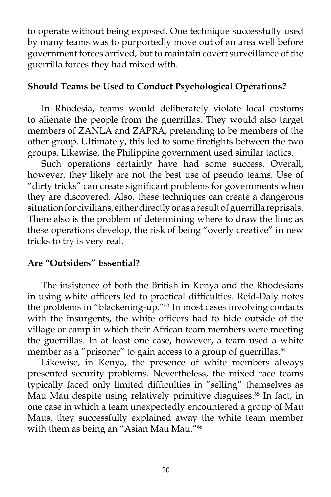to operate without being exposed. One technique successfully used by many teams was to purportedly move out of an area well before government forces arrived, but to maintain covert surveillance of the guerrilla forces they had mixed with.

# **Should Teams be Used to Conduct Psychological Operations?**

 In Rhodesia, teams would deliberately violate local customs to alienate the people from the guerrillas. They would also target members of ZANLA and ZAPRA, pretending to be members of the other group. Ultimately, this led to some firefights between the two groups. Likewise, the Philippine government used similar tactics.

 Such operations certainly have had some success. Overall, however, they likely are not the best use of pseudo teams. Use of "dirty tricks" can create significant problems for governments when they are discovered. Also, these techniques can create a dangerous situation for civilians, either directly or as a result of guerrilla reprisals. There also is the problem of determining where to draw the line; as these operations develop, the risk of being "overly creative" in new tricks to try is very real.

# **Are "Outsiders" Essential?**

 The insistence of both the British in Kenya and the Rhodesians in using white officers led to practical difficulties. Reid-Daly notes the problems in "blackening-up."63 In most cases involving contacts with the insurgents, the white officers had to hide outside of the village or camp in which their African team members were meeting the guerrillas. In at least one case, however, a team used a white member as a "prisoner" to gain access to a group of guerrillas.<sup>64</sup>

 Likewise, in Kenya, the presence of white members always presented security problems. Nevertheless, the mixed race teams typically faced only limited difficulties in "selling" themselves as Mau Mau despite using relatively primitive disguises.<sup>65</sup> In fact, in one case in which a team unexpectedly encountered a group of Mau Maus, they successfully explained away the white team member with them as being an "Asian Mau Mau."<sup>66</sup>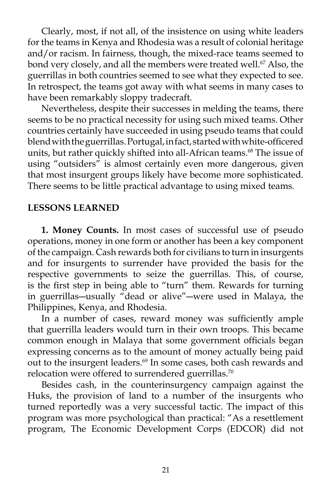Clearly, most, if not all, of the insistence on using white leaders for the teams in Kenya and Rhodesia was a result of colonial heritage and/or racism. In fairness, though, the mixed-race teams seemed to bond very closely, and all the members were treated well.<sup>67</sup> Also, the guerrillas in both countries seemed to see what they expected to see. In retrospect, the teams got away with what seems in many cases to have been remarkably sloppy tradecraft.

 Nevertheless, despite their successes in melding the teams, there seems to be no practical necessity for using such mixed teams. Other countries certainly have succeeded in using pseudo teams that could blend with the guerrillas. Portugal, in fact, started with white-officered units, but rather quickly shifted into all-African teams.<sup>68</sup> The issue of using "outsiders" is almost certainly even more dangerous, given that most insurgent groups likely have become more sophisticated. There seems to be little practical advantage to using mixed teams.

# **LESSONS LEARNED**

 **1. Money Counts.** In most cases of successful use of pseudo operations, money in one form or another has been a key component of the campaign. Cash rewards both for civilians to turn in insurgents and for insurgents to surrender have provided the basis for the respective governments to seize the guerrillas. This, of course, is the first step in being able to "turn" them. Rewards for turning in guerrillas―usually "dead or alive"―were used in Malaya, the Philippines, Kenya, and Rhodesia.

 In a number of cases, reward money was sufficiently ample that guerrilla leaders would turn in their own troops. This became common enough in Malaya that some government officials began expressing concerns as to the amount of money actually being paid out to the insurgent leaders.<sup>69</sup> In some cases, both cash rewards and relocation were offered to surrendered guerrillas.<sup>70</sup>

 Besides cash, in the counterinsurgency campaign against the Huks, the provision of land to a number of the insurgents who turned reportedly was a very successful tactic. The impact of this program was more psychological than practical: "As a resettlement program, The Economic Development Corps (EDCOR) did not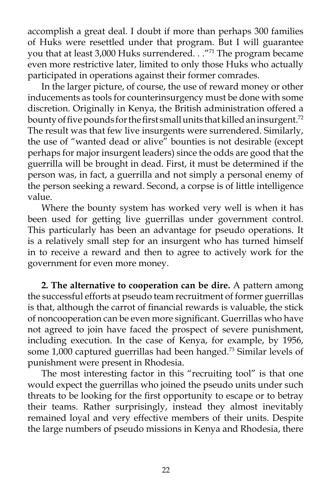accomplish a great deal. I doubt if more than perhaps 300 families of Huks were resettled under that program. But I will guarantee you that at least 3,000 Huks surrendered. . . "71 The program became even more restrictive later, limited to only those Huks who actually participated in operations against their former comrades.

 In the larger picture, of course, the use of reward money or other inducements as tools for counterinsurgency must be done with some discretion. Originally in Kenya, the British administration offered a bounty of five pounds for the first small units that killed an insurgent.<sup>72</sup> The result was that few live insurgents were surrendered. Similarly, the use of "wanted dead or alive" bounties is not desirable (except perhaps for major insurgent leaders) since the odds are good that the guerrilla will be brought in dead. First, it must be determined if the person was, in fact, a guerrilla and not simply a personal enemy of the person seeking a reward. Second, a corpse is of little intelligence value.

 Where the bounty system has worked very well is when it has been used for getting live guerrillas under government control. This particularly has been an advantage for pseudo operations. It is a relatively small step for an insurgent who has turned himself in to receive a reward and then to agree to actively work for the government for even more money.

 **2. The alternative to cooperation can be dire.** A pattern among the successful efforts at pseudo team recruitment of former guerrillas is that, although the carrot of financial rewards is valuable, the stick of noncooperation can be even more significant. Guerrillas who have not agreed to join have faced the prospect of severe punishment, including execution. In the case of Kenya, for example, by 1956, some 1,000 captured guerrillas had been hanged.<sup>73</sup> Similar levels of punishment were present in Rhodesia.

 The most interesting factor in this "recruiting tool" is that one would expect the guerrillas who joined the pseudo units under such threats to be looking for the first opportunity to escape or to betray their teams. Rather surprisingly, instead they almost inevitably remained loyal and very effective members of their units. Despite the large numbers of pseudo missions in Kenya and Rhodesia, there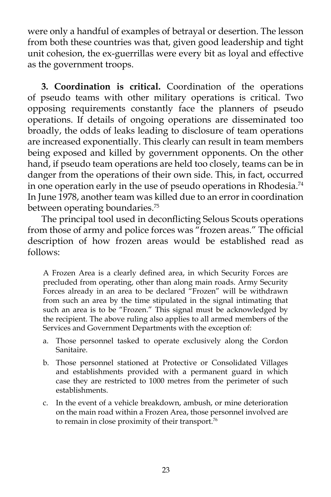were only a handful of examples of betrayal or desertion. The lesson from both these countries was that, given good leadership and tight unit cohesion, the ex-guerrillas were every bit as loyal and effective as the government troops.

 **3. Coordination is critical.** Coordination of the operations of pseudo teams with other military operations is critical. Two opposing requirements constantly face the planners of pseudo operations. If details of ongoing operations are disseminated too broadly, the odds of leaks leading to disclosure of team operations are increased exponentially. This clearly can result in team members being exposed and killed by government opponents. On the other hand, if pseudo team operations are held too closely, teams can be in danger from the operations of their own side. This, in fact, occurred in one operation early in the use of pseudo operations in Rhodesia.<sup>74</sup> In June 1978, another team was killed due to an error in coordination between operating boundaries.<sup>75</sup>

 The principal tool used in deconflicting Selous Scouts operations from those of army and police forces was "frozen areas." The official description of how frozen areas would be established read as follows:

A Frozen Area is a clearly defined area, in which Security Forces are precluded from operating, other than along main roads. Army Security Forces already in an area to be declared "Frozen" will be withdrawn from such an area by the time stipulated in the signal intimating that such an area is to be "Frozen." This signal must be acknowledged by the recipient. The above ruling also applies to all armed members of the Services and Government Departments with the exception of:

- a. Those personnel tasked to operate exclusively along the Cordon Sanitaire.
- b. Those personnel stationed at Protective or Consolidated Villages and establishments provided with a permanent guard in which case they are restricted to 1000 metres from the perimeter of such establishments.
- c. In the event of a vehicle breakdown, ambush, or mine deterioration on the main road within a Frozen Area, those personnel involved are to remain in close proximity of their transport.<sup>76</sup>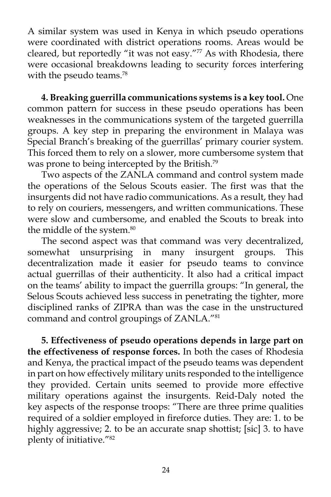A similar system was used in Kenya in which pseudo operations were coordinated with district operations rooms. Areas would be cleared, but reportedly "it was not easy."<sup>77</sup> As with Rhodesia, there were occasional breakdowns leading to security forces interfering with the pseudo teams.<sup>78</sup>

 **4. Breaking guerrilla communications systems is a key tool.** One common pattern for success in these pseudo operations has been weaknesses in the communications system of the targeted guerrilla groups. A key step in preparing the environment in Malaya was Special Branch's breaking of the guerrillas' primary courier system. This forced them to rely on a slower, more cumbersome system that was prone to being intercepted by the British.<sup>79</sup>

 Two aspects of the ZANLA command and control system made the operations of the Selous Scouts easier. The first was that the insurgents did not have radio communications. As a result, they had to rely on couriers, messengers, and written communications. These were slow and cumbersome, and enabled the Scouts to break into the middle of the system.<sup>80</sup>

 The second aspect was that command was very decentralized, somewhat unsurprising in many insurgent groups. This decentralization made it easier for pseudo teams to convince actual guerrillas of their authenticity. It also had a critical impact on the teams' ability to impact the guerrilla groups: "In general, the Selous Scouts achieved less success in penetrating the tighter, more disciplined ranks of ZIPRA than was the case in the unstructured command and control groupings of ZANLA."81

 **5. Effectiveness of pseudo operations depends in large part on the effectiveness of response forces.** In both the cases of Rhodesia and Kenya, the practical impact of the pseudo teams was dependent in part on how effectively military units responded to the intelligence they provided. Certain units seemed to provide more effective military operations against the insurgents. Reid-Daly noted the key aspects of the response troops: "There are three prime qualities required of a soldier employed in fireforce duties. They are: 1. to be highly aggressive; 2. to be an accurate snap shottist; [sic] 3. to have plenty of initiative."82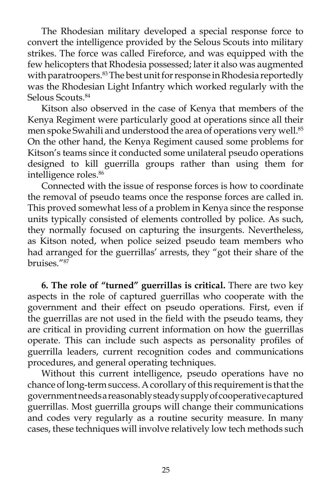The Rhodesian military developed a special response force to convert the intelligence provided by the Selous Scouts into military strikes. The force was called Fireforce, and was equipped with the few helicopters that Rhodesia possessed; later it also was augmented with paratroopers.<sup>83</sup> The best unit for response in Rhodesia reportedly was the Rhodesian Light Infantry which worked regularly with the Selous Scouts.<sup>84</sup>

 Kitson also observed in the case of Kenya that members of the Kenya Regiment were particularly good at operations since all their men spoke Swahili and understood the area of operations very well.<sup>85</sup> On the other hand, the Kenya Regiment caused some problems for Kitson's teams since it conducted some unilateral pseudo operations designed to kill guerrilla groups rather than using them for intelligence roles.<sup>86</sup>

 Connected with the issue of response forces is how to coordinate the removal of pseudo teams once the response forces are called in. This proved somewhat less of a problem in Kenya since the response units typically consisted of elements controlled by police. As such, they normally focused on capturing the insurgents. Nevertheless, as Kitson noted, when police seized pseudo team members who had arranged for the guerrillas' arrests, they "got their share of the bruises."87

 **6. The role of "turned" guerrillas is critical.** There are two key aspects in the role of captured guerrillas who cooperate with the government and their effect on pseudo operations. First, even if the guerrillas are not used in the field with the pseudo teams, they are critical in providing current information on how the guerrillas operate. This can include such aspects as personality profiles of guerrilla leaders, current recognition codes and communications procedures, and general operating techniques.

 Without this current intelligence, pseudo operations have no chance of long-term success. A corollary of this requirement is that the government needs a reasonably steady supply of cooperative captured guerrillas. Most guerrilla groups will change their communications and codes very regularly as a routine security measure. In many cases, these techniques will involve relatively low tech methods such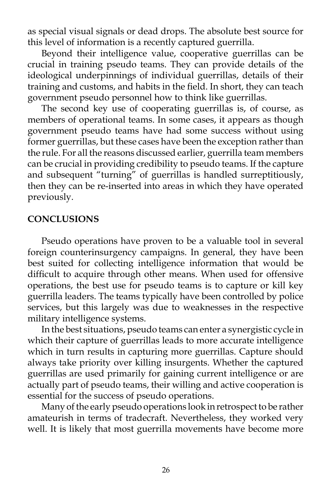as special visual signals or dead drops. The absolute best source for this level of information is a recently captured guerrilla.

 Beyond their intelligence value, cooperative guerrillas can be crucial in training pseudo teams. They can provide details of the ideological underpinnings of individual guerrillas, details of their training and customs, and habits in the field. In short, they can teach government pseudo personnel how to think like guerrillas.

 The second key use of cooperating guerrillas is, of course, as members of operational teams. In some cases, it appears as though government pseudo teams have had some success without using former guerrillas, but these cases have been the exception rather than the rule. For all the reasons discussed earlier, guerrilla team members can be crucial in providing credibility to pseudo teams. If the capture and subsequent "turning" of guerrillas is handled surreptitiously, then they can be re-inserted into areas in which they have operated previously.

#### **CONCLUSIONS**

 Pseudo operations have proven to be a valuable tool in several foreign counterinsurgency campaigns. In general, they have been best suited for collecting intelligence information that would be difficult to acquire through other means. When used for offensive operations, the best use for pseudo teams is to capture or kill key guerrilla leaders. The teams typically have been controlled by police services, but this largely was due to weaknesses in the respective military intelligence systems.

 In the best situations, pseudo teams can enter a synergistic cycle in which their capture of guerrillas leads to more accurate intelligence which in turn results in capturing more guerrillas. Capture should always take priority over killing insurgents. Whether the captured guerrillas are used primarily for gaining current intelligence or are actually part of pseudo teams, their willing and active cooperation is essential for the success of pseudo operations.

 Many of the early pseudo operations look in retrospect to be rather amateurish in terms of tradecraft. Nevertheless, they worked very well. It is likely that most guerrilla movements have become more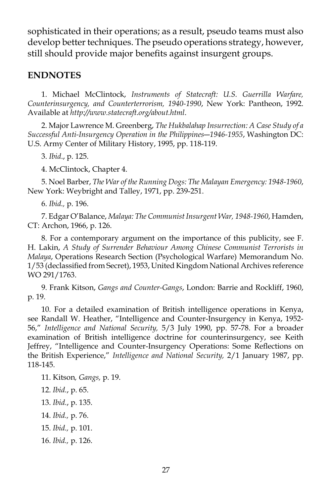sophisticated in their operations; as a result, pseudo teams must also develop better techniques. The pseudo operations strategy, however, still should provide major benefits against insurgent groups.

### **ENDNOTES**

 1. Michael McClintock, *Instruments of Statecraft: U.S. Guerrilla Warfare, Counterinsurgency, and Counterterrorism, 1940-1990*, New York: Pantheon, 1992. Available at *http://www.statecraft.org/about.html*.

 2. Major Lawrence M. Greenberg, *The Hukbalahap Insurrection: A Case Study of a Successful Anti-Insurgency Operation in the Philippines―1946-1955*, Washington DC: U.S. Army Center of Military History, 1995, pp. 118-119.

3. *Ibid*., p. 125.

4. McClintock, Chapter 4.

 5. Noel Barber, *The War of the Running Dogs: The Malayan Emergency: 1948-1960*, New York: Weybright and Talley, 1971, pp. 239-251.

6. *Ibid.,* p. 196.

 7. Edgar O'Balance, *Malaya: The Communist Insurgent War, 1948-1960*, Hamden, CT: Archon, 1966, p. 126.

 8. For a contemporary argument on the importance of this publicity, see F. H. Lakin, *A Study of Surrender Behaviour Among Chinese Communist Terrorists in Malaya*, Operations Research Section (Psychological Warfare) Memorandum No. 1/53 (declassified from Secret), 1953, United Kingdom National Archives reference WO 291/1763.

 9. Frank Kitson, *Gangs and Counter-Gangs*, London: Barrie and Rockliff, 1960, p. 19.

 10. For a detailed examination of British intelligence operations in Kenya, see Randall W. Heather, "Intelligence and Counter-Insurgency in Kenya, 1952- 56," *Intelligence and National Security,* 5/3 July 1990, pp. 57-78. For a broader examination of British intelligence doctrine for counterinsurgency, see Keith Jeffrey, "Intelligence and Counter-Insurgency Operations: Some Reflections on the British Experience," *Intelligence and National Security,* 2/1 January 1987, pp. 118-145.

 11. Kitson*, Gangs,* p. 19. 12. *Ibid.*, p. 65. 13. *Ibid.*, p. 135. 14. *Ibid.,* p. 76. 15. *Ibid.,* p. 101. 16. *Ibid.,* p. 126.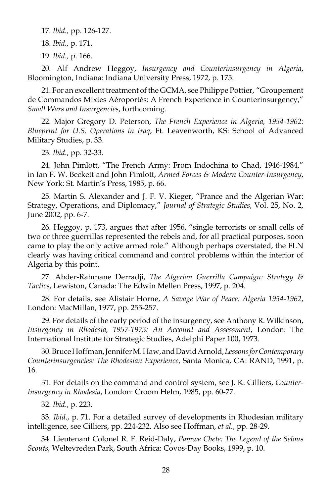17. *Ibid.,* pp. 126-127.

18. *Ibid.,* p. 171.

19. *Ibid.,* p. 166.

 20. Alf Andrew Heggoy, *Insurgency and Counterinsurgency in Algeria*, Bloomington, Indiana: Indiana University Press, 1972, p. 175.

 21. For an excellent treatment of the GCMA, see Philippe Pottier, "Groupement de Commandos Mixtes Aéroportés: A French Experience in Counterinsurgency," *Small Wars and Insurgencies*, forthcoming.

 22. Major Gregory D. Peterson, *The French Experience in Algeria, 1954-1962: Blueprint for U.S. Operations in Iraq*, Ft. Leavenworth, KS: School of Advanced Military Studies, p. 33.

23. *Ibid*., pp. 32-33.

 24. John Pimlott, "The French Army: From Indochina to Chad, 1946-1984," in Ian F. W. Beckett and John Pimlott, *Armed Forces & Modern Counter-Insurgency*, New York: St. Martin's Press, 1985, p. 66.

 25. Martin S. Alexander and J. F. V. Kieger, "France and the Algerian War: Strategy, Operations, and Diplomacy," *Journal of Strategic Studies*, Vol. 25, No. 2, June 2002, pp. 6-7.

 26. Heggoy, p. 173, argues that after 1956, "single terrorists or small cells of two or three guerrillas represented the rebels and, for all practical purposes, soon came to play the only active armed role." Although perhaps overstated, the FLN clearly was having critical command and control problems within the interior of Algeria by this point.

 27. Abder-Rahmane Derradji, *The Algerian Guerrilla Campaign: Strategy & Tactics*, Lewiston, Canada: The Edwin Mellen Press, 1997, p. 204.

 28. For details, see Alistair Horne, *A Savage War of Peace: Algeria 1954-1962*, London: MacMillan, 1977, pp. 255-257.

 29. For details of the early period of the insurgency, see Anthony R. Wilkinson, *Insurgency in Rhodesia, 1957-1973: An Account and Assessment*, London: The International Institute for Strategic Studies, Adelphi Paper 100, 1973.

 30. Bruce Hoffman, Jennifer M. Haw, and David Arnold, *Lessons for Contemporary Counterinsurgencies: The Rhodesian Experience*, Santa Monica, CA: RAND, 1991, p. 16.

 31. For details on the command and control system, see J. K. Cilliers, *Counter-Insurgency in Rhodesia*, London: Croom Helm, 1985, pp. 60-77.

32. *Ibid*., p. 223.

 33. *Ibid*., p. 71. For a detailed survey of developments in Rhodesian military intelligence, see Cilliers, pp. 224-232. Also see Hoffman, *et al.*, pp. 28-29.

 34. Lieutenant Colonel R. F. Reid-Daly, *Pamwe Chete: The Legend of the Selous Scouts,* Weltevreden Park, South Africa: Covos-Day Books, 1999, p. 10.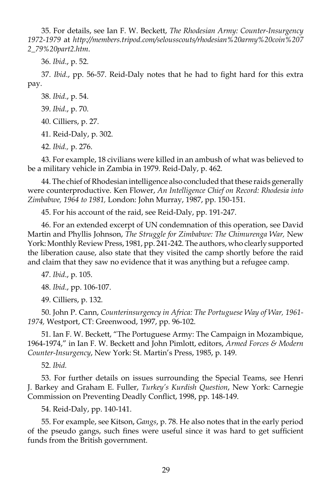35. For details, see Ian F. W. Beckett, *The Rhodesian Army: Counter-Insurgency 1972-1979* at *http://members.tripod.com/selousscouts/rhodesian%20army%20coin%207 2\_79%20part2.htm*.

36. *Ibid*., p. 52.

 37. *Ibid*., pp. 56-57. Reid-Daly notes that he had to fight hard for this extra pay.

38. *Ibid*., p. 54.

39. *Ibid*., p. 70.

40. Cilliers, p. 27.

41. Reid-Daly, p. 302.

42. *Ibid.,* p. 276.

 43. For example, 18 civilians were killed in an ambush of what was believed to be a military vehicle in Zambia in 1979. Reid-Daly, p. 462.

 44. The chief of Rhodesian intelligence also concluded that these raids generally were counterproductive. Ken Flower, *An Intelligence Chief on Record: Rhodesia into Zimbabwe, 1964 to 1981,* London: John Murray, 1987, pp. 150-151.

45. For his account of the raid, see Reid-Daly, pp. 191-247.

 46. For an extended excerpt of UN condemnation of this operation, see David Martin and Phyllis Johnson, *The Struggle for Zimbabwe: The Chimurenga War,* New York: Monthly Review Press, 1981, pp. 241-242. The authors, who clearly supported the liberation cause, also state that they visited the camp shortly before the raid and claim that they saw no evidence that it was anything but a refugee camp.

47. *Ibid*., p. 105.

48. *Ibid*., pp. 106-107.

49. Cilliers, p. 132.

 50. John P. Cann, *Counterinsurgency in Africa: The Portuguese Way of War, 1961- 1974,* Westport, CT: Greenwood, 1997, pp. 96-102.

 51. Ian F. W. Beckett, "The Portuguese Army: The Campaign in Mozambique, 1964-1974," in Ian F. W. Beckett and John Pimlott, editors, *Armed Forces & Modern Counter-Insurgency*, New York: St. Martin's Press, 1985, p. 149.

52. *Ibid.*

 53. For further details on issues surrounding the Special Teams, see Henri J. Barkey and Graham E. Fuller, *Turkey's Kurdish Question*, New York: Carnegie Commission on Preventing Deadly Conflict, 1998, pp. 148-149.

54. Reid-Daly, pp. 140-141.

 55. For example, see Kitson, *Gangs*, p. 78. He also notes that in the early period of the pseudo gangs, such fines were useful since it was hard to get sufficient funds from the British government.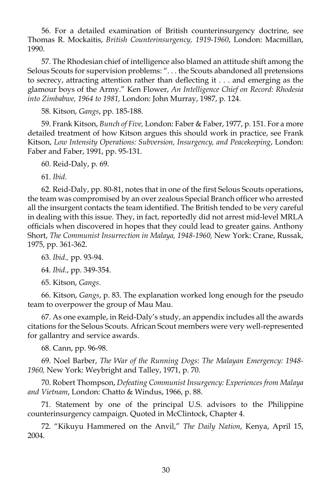56. For a detailed examination of British counterinsurgency doctrine, see Thomas R. Mockaitis, *British Counterinsurgency, 1919-1960*, London: Macmillan, 1990.

 57. The Rhodesian chief of intelligence also blamed an attitude shift among the Selous Scouts for supervision problems: ". . . the Scouts abandoned all pretensions to secrecy, attracting attention rather than deflecting it . . . and emerging as the glamour boys of the Army." Ken Flower, *An Intelligence Chief on Record: Rhodesia into Zimbabwe, 1964 to 1981,* London: John Murray, 1987, p. 124.

58. Kitson, *Gangs*, pp. 185-188.

 59. Frank Kitson, *Bunch of Five,* London: Faber & Faber, 1977, p. 151. For a more detailed treatment of how Kitson argues this should work in practice, see Frank Kitson, *Low Intensity Operations: Subversion, Insurgency, and Peacekeeping*, London: Faber and Faber, 1991, pp. 95-131.

60. Reid-Daly, p. 69.

61. *Ibid*.

 62. Reid-Daly, pp. 80-81, notes that in one of the first Selous Scouts operations, the team was compromised by an over zealous Special Branch officer who arrested all the insurgent contacts the team identified. The British tended to be very careful in dealing with this issue. They, in fact, reportedly did not arrest mid-level MRLA officials when discovered in hopes that they could lead to greater gains. Anthony Short, *The Communist Insurrection in Malaya, 1948-1960,* New York: Crane, Russak, 1975, pp. 361-362.

63. *Ibid.,* pp. 93-94.

64. *Ibid.*, pp. 349-354.

65. Kitson, *Gangs*.

 66. Kitson, *Gangs*, p. 83. The explanation worked long enough for the pseudo team to overpower the group of Mau Mau.

 67. As one example, in Reid-Daly's study, an appendix includes all the awards citations for the Selous Scouts. African Scout members were very well-represented for gallantry and service awards.

68. Cann, pp. 96-98.

 69. Noel Barber, *The War of the Running Dogs: The Malayan Emergency: 1948- 1960,* New York: Weybright and Talley, 1971, p. 70.

 70. Robert Thompson, *Defeating Communist Insurgency: Experiences from Malaya and Vietnam*, London: Chatto & Windus, 1966, p. 88.

 71. Statement by one of the principal U.S. advisors to the Philippine counterinsurgency campaign. Quoted in McClintock, Chapter 4.

 72. "Kikuyu Hammered on the Anvil," *The Daily Nation*, Kenya, April 15, 2004.